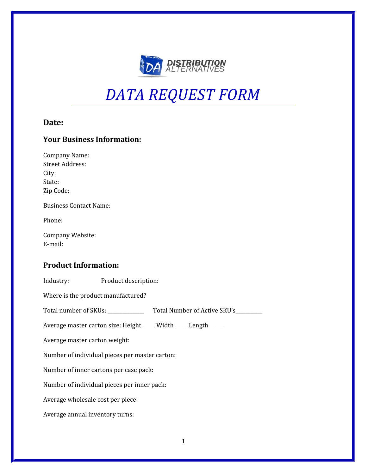

# *DATA REQUEST FORM*

# **Date:**

# **Your Business Information:**

| <b>Company Name:</b>                                           |
|----------------------------------------------------------------|
| <b>Street Address:</b>                                         |
| City:                                                          |
| State:                                                         |
| Zip Code:                                                      |
| <b>Business Contact Name:</b>                                  |
| Phone:                                                         |
| Company Website:                                               |
| E-mail:                                                        |
|                                                                |
| <b>Product Information:</b>                                    |
| Industry:<br>Product description:                              |
| Where is the product manufactured?                             |
|                                                                |
| Average master carton size: Height ____ Width ____ Length ____ |
| Average master carton weight:                                  |
| Number of individual pieces per master carton:                 |
| Number of inner cartons per case pack:                         |
| Number of individual pieces per inner pack:                    |
| Average wholesale cost per piece:                              |
| Average annual inventory turns:                                |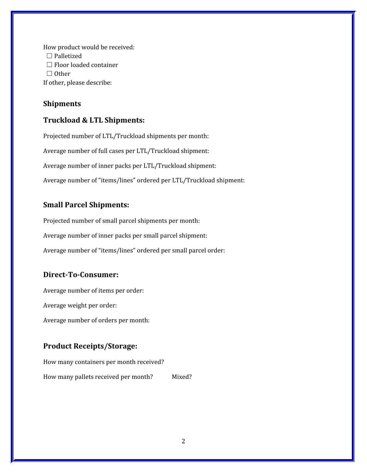How product would be received: □ Palletized  $\Box$  Floor loaded container ☐ Other If other, please describe:

#### **Shipments**

#### **Truckload & LTL Shipments:**

Projected number of LTL/Truckload shipments per month: Average number of full cases per LTL/Truckload shipment: Average number of inner packs per LTL/Truckload shipment: Average number of "items/lines" ordered per LTL/Truckload shipment:

## **Small Parcel Shipments:**

Projected number of small parcel shipments per month: Average number of inner packs per small parcel shipment: Average number of "items/lines" ordered per small parcel order:

#### **Direct-To-Consumer:**

Average number of items per order: Average weight per order: Average number of orders per month:

## **Product Receipts/Storage:**

How many containers per month received? How many pallets received per month? Mixed?